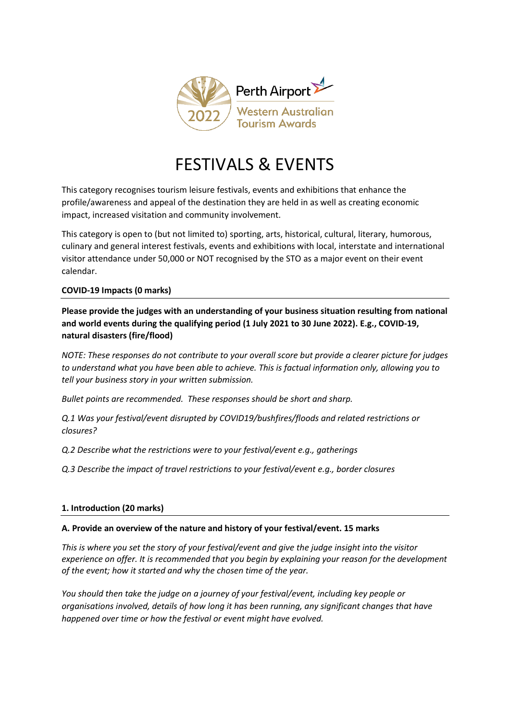

# FESTIVALS & EVENTS

This category recognises tourism leisure festivals, events and exhibitions that enhance the profile/awareness and appeal of the destination they are held in as well as creating economic impact, increased visitation and community involvement.

This category is open to (but not limited to) sporting, arts, historical, cultural, literary, humorous, culinary and general interest festivals, events and exhibitions with local, interstate and international visitor attendance under 50,000 or NOT recognised by the STO as a major event on their event calendar.

## **COVID-19 Impacts (0 marks)**

**Please provide the judges with an understanding of your business situation resulting from national and world events during the qualifying period (1 July 2021 to 30 June 2022). E.g., COVID-19, natural disasters (fire/flood)** 

*NOTE: These responses do not contribute to your overall score but provide a clearer picture for judges to understand what you have been able to achieve. This is factual information only, allowing you to tell your business story in your written submission.* 

*Bullet points are recommended. These responses should be short and sharp.*

*Q.1 Was your festival/event disrupted by COVID19/bushfires/floods and related restrictions or closures?*

*Q.2 Describe what the restrictions were to your festival/event e.g., gatherings*

*Q.3 Describe the impact of travel restrictions to your festival/event e.g., border closures* 

## **1. Introduction (20 marks)**

#### **A. Provide an overview of the nature and history of your festival/event. 15 marks**

*This is where you set the story of your festival/event and give the judge insight into the visitor experience on offer. It is recommended that you begin by explaining your reason for the development of the event; how it started and why the chosen time of the year.*

*You should then take the judge on a journey of your festival/event, including key people or organisations involved, details of how long it has been running, any significant changes that have happened over time or how the festival or event might have evolved.*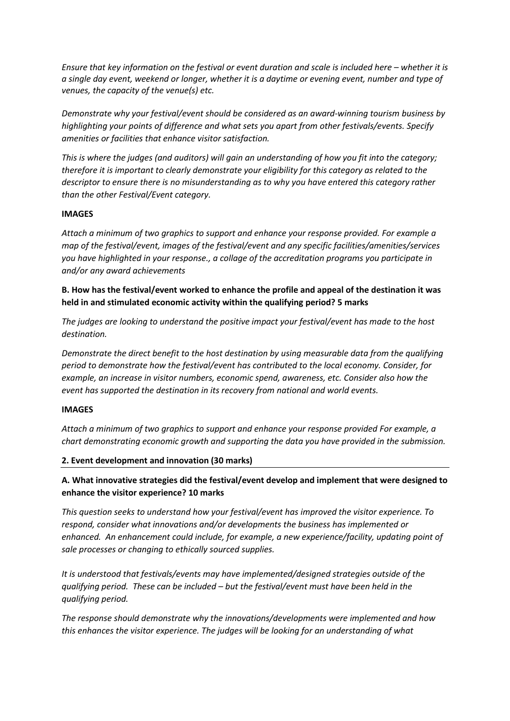*Ensure that key information on the festival or event duration and scale is included here – whether it is a single day event, weekend or longer, whether it is a daytime or evening event, number and type of venues, the capacity of the venue(s) etc.*

*Demonstrate why your festival/event should be considered as an award-winning tourism business by highlighting your points of difference and what sets you apart from other festivals/events. Specify amenities or facilities that enhance visitor satisfaction.* 

*This is where the judges (and auditors) will gain an understanding of how you fit into the category; therefore it is important to clearly demonstrate your eligibility for this category as related to the descriptor to ensure there is no misunderstanding as to why you have entered this category rather than the other Festival/Event category.* 

#### **IMAGES**

*Attach a minimum of two graphics to support and enhance your response provided. For example a map of the festival/event, images of the festival/event and any specific facilities/amenities/services you have highlighted in your response., a collage of the accreditation programs you participate in and/or any award achievements*

**B. How has the festival/event worked to enhance the profile and appeal of the destination it was held in and stimulated economic activity within the qualifying period? 5 marks**

*The judges are looking to understand the positive impact your festival/event has made to the host destination.* 

*Demonstrate the direct benefit to the host destination by using measurable data from the qualifying period to demonstrate how the festival/event has contributed to the local economy. Consider, for example, an increase in visitor numbers, economic spend, awareness, etc. Consider also how the event has supported the destination in its recovery from national and world events.*

#### **IMAGES**

*Attach a minimum of two graphics to support and enhance your response provided For example, a chart demonstrating economic growth and supporting the data you have provided in the submission.* 

#### **2. Event development and innovation (30 marks)**

**A. What innovative strategies did the festival/event develop and implement that were designed to enhance the visitor experience? 10 marks**

*This question seeks to understand how your festival/event has improved the visitor experience. To respond, consider what innovations and/or developments the business has implemented or enhanced. An enhancement could include, for example, a new experience/facility, updating point of sale processes or changing to ethically sourced supplies.*

*It is understood that festivals/events may have implemented/designed strategies outside of the qualifying period. These can be included – but the festival/event must have been held in the qualifying period.*

*The response should demonstrate why the innovations/developments were implemented and how this enhances the visitor experience. The judges will be looking for an understanding of what*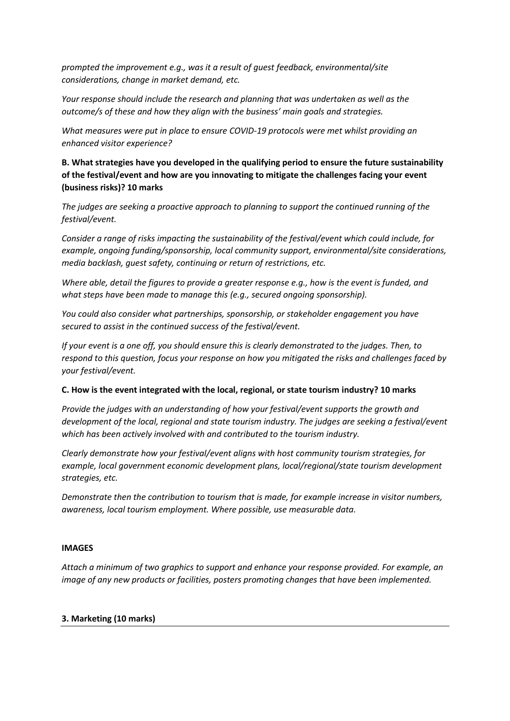*prompted the improvement e.g., was it a result of guest feedback, environmental/site considerations, change in market demand, etc.* 

*Your response should include the research and planning that was undertaken as well as the outcome/s of these and how they align with the business' main goals and strategies.*

*What measures were put in place to ensure COVID-19 protocols were met whilst providing an enhanced visitor experience?*

**B. What strategies have you developed in the qualifying period to ensure the future sustainability of the festival/event and how are you innovating to mitigate the challenges facing your event (business risks)? 10 marks**

*The judges are seeking a proactive approach to planning to support the continued running of the festival/event.* 

*Consider a range of risks impacting the sustainability of the festival/event which could include, for example, ongoing funding/sponsorship, local community support, environmental/site considerations, media backlash, guest safety, continuing or return of restrictions, etc.*

*Where able, detail the figures to provide a greater response e.g., how is the event is funded, and what steps have been made to manage this (e.g., secured ongoing sponsorship).* 

*You could also consider what partnerships, sponsorship, or stakeholder engagement you have secured to assist in the continued success of the festival/event.*

*If your event is a one off, you should ensure this is clearly demonstrated to the judges. Then, to respond to this question, focus your response on how you mitigated the risks and challenges faced by your festival/event.* 

## **C. How is the event integrated with the local, regional, or state tourism industry? 10 marks**

*Provide the judges with an understanding of how your festival/event supports the growth and development of the local, regional and state tourism industry. The judges are seeking a festival/event which has been actively involved with and contributed to the tourism industry.* 

*Clearly demonstrate how your festival/event aligns with host community tourism strategies, for example, local government economic development plans, local/regional/state tourism development strategies, etc.* 

*Demonstrate then the contribution to tourism that is made, for example increase in visitor numbers, awareness, local tourism employment. Where possible, use measurable data.* 

#### **IMAGES**

*Attach a minimum of two graphics to support and enhance your response provided. For example, an image of any new products or facilities, posters promoting changes that have been implemented.* 

#### **3. Marketing (10 marks)**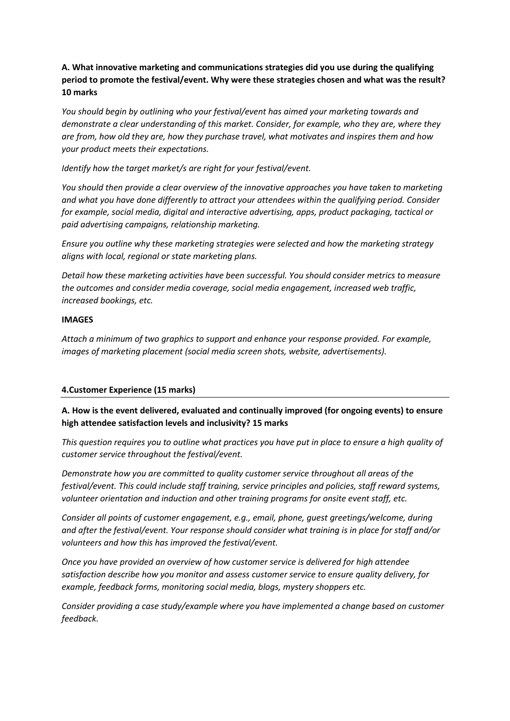# **A. What innovative marketing and communications strategies did you use during the qualifying period to promote the festival/event. Why were these strategies chosen and what was the result? 10 marks**

*You should begin by outlining who your festival/event has aimed your marketing towards and demonstrate a clear understanding of this market. Consider, for example, who they are, where they are from, how old they are, how they purchase travel, what motivates and inspires them and how your product meets their expectations.* 

*Identify how the target market/s are right for your festival/event.*

*You should then provide a clear overview of the innovative approaches you have taken to marketing and what you have done differently to attract your attendees within the qualifying period. Consider for example, social media, digital and interactive advertising, apps, product packaging, tactical or paid advertising campaigns, relationship marketing.*

*Ensure you outline why these marketing strategies were selected and how the marketing strategy aligns with local, regional or state marketing plans.*

*Detail how these marketing activities have been successful. You should consider metrics to measure the outcomes and consider media coverage, social media engagement, increased web traffic, increased bookings, etc.* 

#### **IMAGES**

*Attach a minimum of two graphics to support and enhance your response provided. For example, images of marketing placement (social media screen shots, website, advertisements).*

#### **4.Customer Experience (15 marks)**

## **A. How is the event delivered, evaluated and continually improved (for ongoing events) to ensure high attendee satisfaction levels and inclusivity? 15 marks**

*This question requires you to outline what practices you have put in place to ensure a high quality of customer service throughout the festival/event.* 

*Demonstrate how you are committed to quality customer service throughout all areas of the festival/event. This could include staff training, service principles and policies, staff reward systems, volunteer orientation and induction and other training programs for onsite event staff, etc.* 

*Consider all points of customer engagement, e.g., email, phone, guest greetings/welcome, during and after the festival/event. Your response should consider what training is in place for staff and/or volunteers and how this has improved the festival/event.* 

*Once you have provided an overview of how customer service is delivered for high attendee satisfaction describe how you monitor and assess customer service to ensure quality delivery, for example, feedback forms, monitoring social media, blogs, mystery shoppers etc.*

*Consider providing a case study/example where you have implemented a change based on customer feedback.*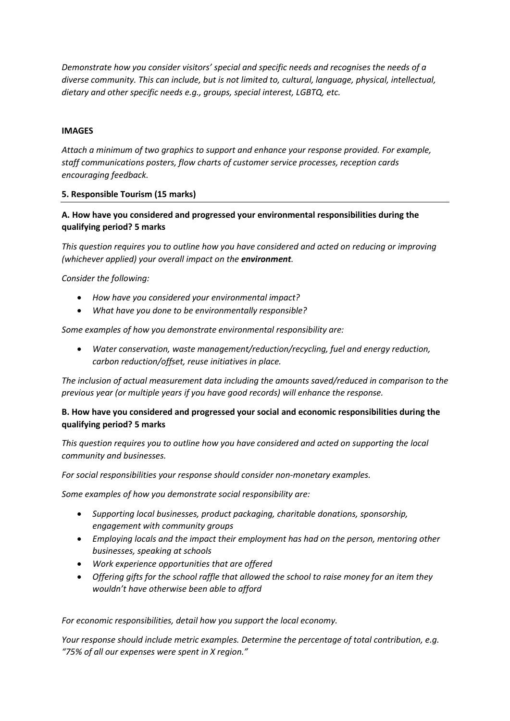*Demonstrate how you consider visitors' special and specific needs and recognises the needs of a diverse community. This can include, but is not limited to, cultural, language, physical, intellectual, dietary and other specific needs e.g., groups, special interest, LGBTQ, etc.*

#### **IMAGES**

*Attach a minimum of two graphics to support and enhance your response provided. For example, staff communications posters, flow charts of customer service processes, reception cards encouraging feedback.* 

## **5. Responsible Tourism (15 marks)**

# **A. How have you considered and progressed your environmental responsibilities during the qualifying period? 5 marks**

*This question requires you to outline how you have considered and acted on reducing or improving (whichever applied) your overall impact on the environment.* 

## *Consider the following:*

- *How have you considered your environmental impact?*
- *What have you done to be environmentally responsible?*

*Some examples of how you demonstrate environmental responsibility are:*

• *Water conservation, waste management/reduction/recycling, fuel and energy reduction, carbon reduction/offset, reuse initiatives in place.*

*The inclusion of actual measurement data including the amounts saved/reduced in comparison to the previous year (or multiple years if you have good records) will enhance the response.*

## **B. How have you considered and progressed your social and economic responsibilities during the qualifying period? 5 marks**

*This question requires you to outline how you have considered and acted on supporting the local community and businesses.* 

*For social responsibilities your response should consider non-monetary examples.*

*Some examples of how you demonstrate social responsibility are:*

- *Supporting local businesses, product packaging, charitable donations, sponsorship, engagement with community groups*
- *Employing locals and the impact their employment has had on the person, mentoring other businesses, speaking at schools*
- *Work experience opportunities that are offered*
- *Offering gifts for the school raffle that allowed the school to raise money for an item they wouldn't have otherwise been able to afford*

*For economic responsibilities, detail how you support the local economy.* 

*Your response should include metric examples. Determine the percentage of total contribution, e.g. "75% of all our expenses were spent in X region."*